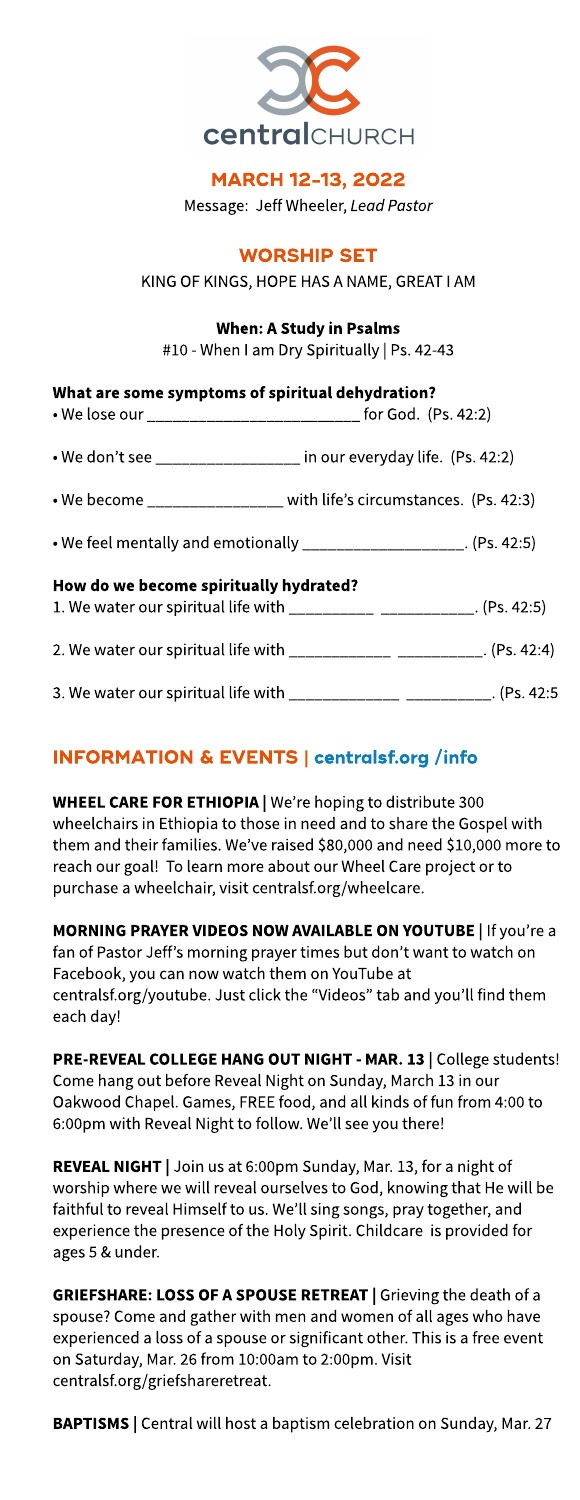

### MARCH 12-13, 2022

Message: Jeff Wheeler, **LeadPastor**

### **WORSHIP SET**

KING OF KINGS, HOPE HAS A NAME, GREAT I AM

### When: A Study in Psalms

#10 - When I am Dry Spiritually | Ps. 42-43

| What are some symptoms of spiritual dehydration?<br>• We lose our _______________________________ for God. (Ps. 42:2) |                                                                             |  |  |  |
|-----------------------------------------------------------------------------------------------------------------------|-----------------------------------------------------------------------------|--|--|--|
| • We don't see _________________ in our everyday life. (Ps. 42:2)                                                     |                                                                             |  |  |  |
|                                                                                                                       | • We become $\_{\_$                                                         |  |  |  |
|                                                                                                                       | • We feel mentally and emotionally _____________________. (Ps. 42:5)        |  |  |  |
| How do we become spiritually hydrated?                                                                                | 1. We water our spiritual life with ____________ __________. (Ps. 42:5)     |  |  |  |
|                                                                                                                       | 2. We water our spiritual life with ____________ ________. (Ps. 42:4)       |  |  |  |
|                                                                                                                       | 3. We water our spiritual life with _________________ __________. (Ps. 42:5 |  |  |  |

## INFORMATION& EVENTS| **[centralsf.org/info](http://centralsf.org/info)**

WHEEL CARE FOR ETHIOPIA | We're hoping to distribute 300 wheelchairs in Ethiopia to those in need and to share the Gospel with them and their families. We've raised \$80,000 and need \$10,000 more to reach our goal! To learn more about our Wheel Care project or to purchase a wheelchair, visit centralsf.org/wheelcare.

MORNING PRAYER VIDEOS NOW AVAILABLE ON YOUTUBE | If you're a fan of Pastor Jeff's morning prayer times but don't want to watch on Facebook, you can now watch them on YouTube at centralsf.org/youtube. Just click the "Videos" tab and you'll find them each day!

PRE-REVEAL COLLEGE HANG OUT NIGHT - MAR. 13 | College students! Come hang out before Reveal Night on Sunday, March 13 in our Oakwood Chapel. Games, FREE food, and all kinds of fun from 4:00 to 6:00pm with Reveal Night to follow. We?ll see you there!

REVEAL NIGHT | Join us at 6:00pm Sunday, Mar. 13, for a night of worship where we will reveal ourselves to God, knowing that He will be faithful to reveal Himself to us. We?ll sing songs, pray together, and experience the presence of the Holy Spirit. Childcare is provided for ages 5 & under.

GRIEFSHARE: LOSS OF A SPOUSE RETREAT | Grieving the death of a spouse? Come and gather with men and women of all ages who have experienced a loss of a spouse or significant other. This is a free event on Saturday, Mar. 26from 10:00am to 2:00pm. Visit centralsf.org/griefshareretreat.

BAPTISMS | Central will host a baptism celebration on Sunday, Mar. 27